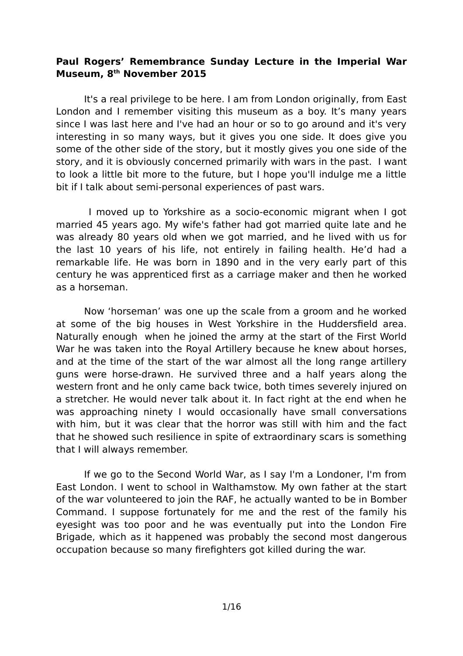## **Paul Rogers' Remembrance Sunday Lecture in the Imperial War Museum, 8th November 2015**

It's a real privilege to be here. I am from London originally, from East London and I remember visiting this museum as a boy. It's many years since I was last here and I've had an hour or so to go around and it's very interesting in so many ways, but it gives you one side. It does give you some of the other side of the story, but it mostly gives you one side of the story, and it is obviously concerned primarily with wars in the past. I want to look a little bit more to the future, but I hope you'll indulge me a little bit if I talk about semi-personal experiences of past wars.

 I moved up to Yorkshire as a socio-economic migrant when I got married 45 years ago. My wife's father had got married quite late and he was already 80 years old when we got married, and he lived with us for the last 10 years of his life, not entirely in failing health. He'd had a remarkable life. He was born in 1890 and in the very early part of this century he was apprenticed first as a carriage maker and then he worked as a horseman.

Now 'horseman' was one up the scale from a groom and he worked at some of the big houses in West Yorkshire in the Huddersfield area. Naturally enough when he joined the army at the start of the First World War he was taken into the Royal Artillery because he knew about horses, and at the time of the start of the war almost all the long range artillery guns were horse-drawn. He survived three and a half years along the western front and he only came back twice, both times severely injured on a stretcher. He would never talk about it. In fact right at the end when he was approaching ninety I would occasionally have small conversations with him, but it was clear that the horror was still with him and the fact that he showed such resilience in spite of extraordinary scars is something that I will always remember.

If we go to the Second World War, as I say I'm a Londoner, I'm from East London. I went to school in Walthamstow. My own father at the start of the war volunteered to join the RAF, he actually wanted to be in Bomber Command. I suppose fortunately for me and the rest of the family his eyesight was too poor and he was eventually put into the London Fire Brigade, which as it happened was probably the second most dangerous occupation because so many firefighters got killed during the war.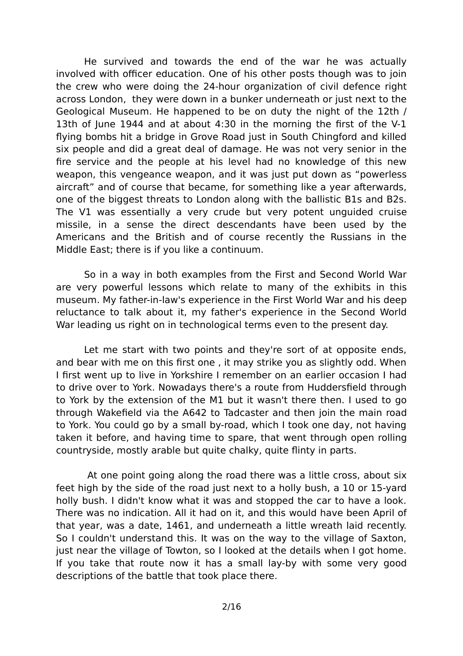He survived and towards the end of the war he was actually involved with officer education. One of his other posts though was to join the crew who were doing the 24-hour organization of civil defence right across London, they were down in a bunker underneath or just next to the Geological Museum. He happened to be on duty the night of the 12th / 13th of June 1944 and at about 4:30 in the morning the first of the V-1 flying bombs hit a bridge in Grove Road just in South Chingford and killed six people and did a great deal of damage. He was not very senior in the fire service and the people at his level had no knowledge of this new weapon, this vengeance weapon, and it was just put down as "powerless aircraft" and of course that became, for something like a year afterwards, one of the biggest threats to London along with the ballistic B1s and B2s. The V1 was essentially a very crude but very potent unguided cruise missile, in a sense the direct descendants have been used by the Americans and the British and of course recently the Russians in the Middle East; there is if you like a continuum.

So in a way in both examples from the First and Second World War are very powerful lessons which relate to many of the exhibits in this museum. My father-in-law's experience in the First World War and his deep reluctance to talk about it, my father's experience in the Second World War leading us right on in technological terms even to the present day.

Let me start with two points and they're sort of at opposite ends, and bear with me on this first one , it may strike you as slightly odd. When I first went up to live in Yorkshire I remember on an earlier occasion I had to drive over to York. Nowadays there's a route from Huddersfield through to York by the extension of the M1 but it wasn't there then. I used to go through Wakefield via the A642 to Tadcaster and then join the main road to York. You could go by a small by-road, which I took one day, not having taken it before, and having time to spare, that went through open rolling countryside, mostly arable but quite chalky, quite flinty in parts.

 At one point going along the road there was a little cross, about six feet high by the side of the road just next to a holly bush, a 10 or 15-yard holly bush. I didn't know what it was and stopped the car to have a look. There was no indication. All it had on it, and this would have been April of that year, was a date, 1461, and underneath a little wreath laid recently. So I couldn't understand this. It was on the way to the village of Saxton, just near the village of Towton, so I looked at the details when I got home. If you take that route now it has a small lay-by with some very good descriptions of the battle that took place there.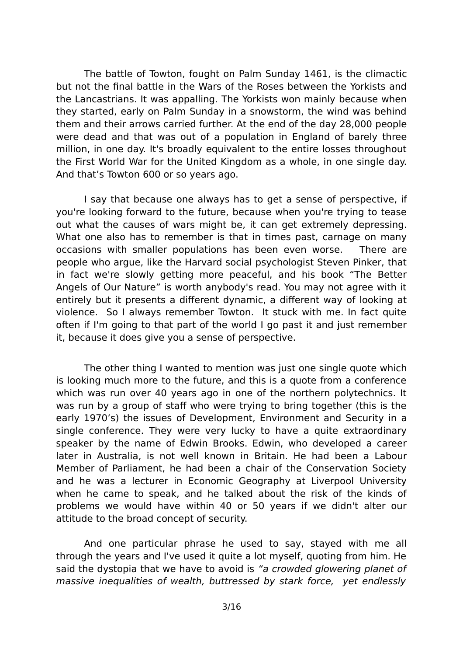The battle of Towton, fought on Palm Sunday 1461, is the climactic but not the final battle in the Wars of the Roses between the Yorkists and the Lancastrians. It was appalling. The Yorkists won mainly because when they started, early on Palm Sunday in a snowstorm, the wind was behind them and their arrows carried further. At the end of the day 28,000 people were dead and that was out of a population in England of barely three million, in one day. It's broadly equivalent to the entire losses throughout the First World War for the United Kingdom as a whole, in one single day. And that's Towton 600 or so years ago.

I say that because one always has to get a sense of perspective, if you're looking forward to the future, because when you're trying to tease out what the causes of wars might be, it can get extremely depressing. What one also has to remember is that in times past, carnage on many occasions with smaller populations has been even worse. There are people who argue, like the Harvard social psychologist Steven Pinker, that in fact we're slowly getting more peaceful, and his book "The Better Angels of Our Nature" is worth anybody's read. You may not agree with it entirely but it presents a different dynamic, a different way of looking at violence. So I always remember Towton. It stuck with me. In fact quite often if I'm going to that part of the world I go past it and just remember it, because it does give you a sense of perspective.

The other thing I wanted to mention was just one single quote which is looking much more to the future, and this is a quote from a conference which was run over 40 years ago in one of the northern polytechnics. It was run by a group of staff who were trying to bring together (this is the early 1970's) the issues of Development, Environment and Security in a single conference. They were very lucky to have a quite extraordinary speaker by the name of Edwin Brooks. Edwin, who developed a career later in Australia, is not well known in Britain. He had been a Labour Member of Parliament, he had been a chair of the Conservation Society and he was a lecturer in Economic Geography at Liverpool University when he came to speak, and he talked about the risk of the kinds of problems we would have within 40 or 50 years if we didn't alter our attitude to the broad concept of security.

And one particular phrase he used to say, stayed with me all through the years and I've used it quite a lot myself, quoting from him. He said the dystopia that we have to avoid is "a crowded glowering planet of massive inequalities of wealth, buttressed by stark force, yet endlessly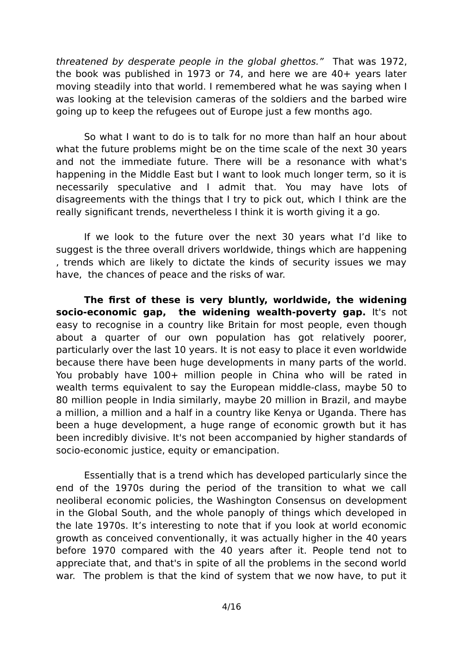threatened by desperate people in the global ghettos." That was 1972, the book was published in 1973 or 74, and here we are 40+ years later moving steadily into that world. I remembered what he was saying when I was looking at the television cameras of the soldiers and the barbed wire going up to keep the refugees out of Europe just a few months ago.

So what I want to do is to talk for no more than half an hour about what the future problems might be on the time scale of the next 30 years and not the immediate future. There will be a resonance with what's happening in the Middle East but I want to look much longer term, so it is necessarily speculative and I admit that. You may have lots of disagreements with the things that I try to pick out, which I think are the really significant trends, nevertheless I think it is worth giving it a go.

If we look to the future over the next 30 years what I'd like to suggest is the three overall drivers worldwide, things which are happening , trends which are likely to dictate the kinds of security issues we may have, the chances of peace and the risks of war.

**The first of these is very bluntly, worldwide, the widening socio-economic gap, the widening wealth-poverty gap.** It's not easy to recognise in a country like Britain for most people, even though about a quarter of our own population has got relatively poorer, particularly over the last 10 years. It is not easy to place it even worldwide because there have been huge developments in many parts of the world. You probably have 100+ million people in China who will be rated in wealth terms equivalent to say the European middle-class, maybe 50 to 80 million people in India similarly, maybe 20 million in Brazil, and maybe a million, a million and a half in a country like Kenya or Uganda. There has been a huge development, a huge range of economic growth but it has been incredibly divisive. It's not been accompanied by higher standards of socio-economic justice, equity or emancipation.

Essentially that is a trend which has developed particularly since the end of the 1970s during the period of the transition to what we call neoliberal economic policies, the Washington Consensus on development in the Global South, and the whole panoply of things which developed in the late 1970s. It's interesting to note that if you look at world economic growth as conceived conventionally, it was actually higher in the 40 years before 1970 compared with the 40 years after it. People tend not to appreciate that, and that's in spite of all the problems in the second world war. The problem is that the kind of system that we now have, to put it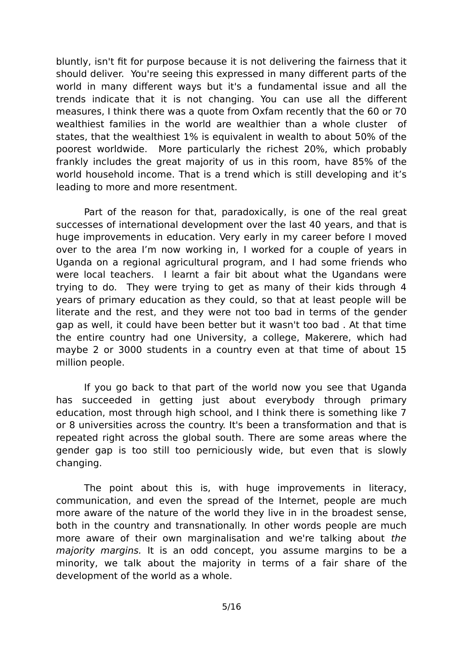bluntly, isn't fit for purpose because it is not delivering the fairness that it should deliver. You're seeing this expressed in many different parts of the world in many different ways but it's a fundamental issue and all the trends indicate that it is not changing. You can use all the different measures, I think there was a quote from Oxfam recently that the 60 or 70 wealthiest families in the world are wealthier than a whole cluster of states, that the wealthiest 1% is equivalent in wealth to about 50% of the poorest worldwide. More particularly the richest 20%, which probably frankly includes the great majority of us in this room, have 85% of the world household income. That is a trend which is still developing and it's leading to more and more resentment.

Part of the reason for that, paradoxically, is one of the real great successes of international development over the last 40 years, and that is huge improvements in education. Very early in my career before I moved over to the area I'm now working in, I worked for a couple of years in Uganda on a regional agricultural program, and I had some friends who were local teachers. I learnt a fair bit about what the Ugandans were trying to do. They were trying to get as many of their kids through 4 years of primary education as they could, so that at least people will be literate and the rest, and they were not too bad in terms of the gender gap as well, it could have been better but it wasn't too bad . At that time the entire country had one University, a college, Makerere, which had maybe 2 or 3000 students in a country even at that time of about 15 million people.

If you go back to that part of the world now you see that Uganda has succeeded in getting just about everybody through primary education, most through high school, and I think there is something like 7 or 8 universities across the country. It's been a transformation and that is repeated right across the global south. There are some areas where the gender gap is too still too perniciously wide, but even that is slowly changing.

The point about this is, with huge improvements in literacy, communication, and even the spread of the Internet, people are much more aware of the nature of the world they live in in the broadest sense, both in the country and transnationally. In other words people are much more aware of their own marginalisation and we're talking about the majority margins. It is an odd concept, you assume margins to be a minority, we talk about the majority in terms of a fair share of the development of the world as a whole.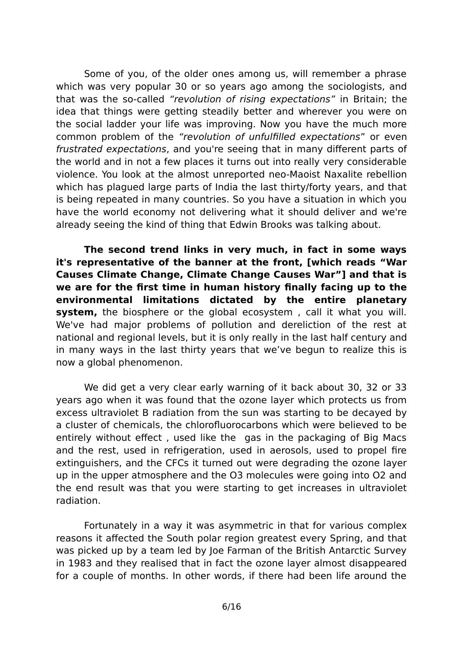Some of you, of the older ones among us, will remember a phrase which was very popular 30 or so years ago among the sociologists, and that was the so-called "revolution of rising expectations" in Britain; the idea that things were getting steadily better and wherever you were on the social ladder your life was improving. Now you have the much more common problem of the "revolution of unfulfilled expectations" or even frustrated expectations, and you're seeing that in many different parts of the world and in not a few places it turns out into really very considerable violence. You look at the almost unreported neo-Maoist Naxalite rebellion which has plagued large parts of India the last thirty/forty years, and that is being repeated in many countries. So you have a situation in which you have the world economy not delivering what it should deliver and we're already seeing the kind of thing that Edwin Brooks was talking about.

**The second trend links in very much, in fact in some ways it's representative of the banner at the front, [which reads "War Causes Climate Change, Climate Change Causes War"] and that is we are for the first time in human history finally facing up to the environmental limitations dictated by the entire planetary system,** the biosphere or the global ecosystem, call it what you will. We've had major problems of pollution and dereliction of the rest at national and regional levels, but it is only really in the last half century and in many ways in the last thirty years that we've begun to realize this is now a global phenomenon.

We did get a very clear early warning of it back about 30, 32 or 33 years ago when it was found that the ozone layer which protects us from excess ultraviolet B radiation from the sun was starting to be decayed by a cluster of chemicals, the chlorofluorocarbons which were believed to be entirely without effect , used like the gas in the packaging of Big Macs and the rest, used in refrigeration, used in aerosols, used to propel fire extinguishers, and the CFCs it turned out were degrading the ozone layer up in the upper atmosphere and the O3 molecules were going into O2 and the end result was that you were starting to get increases in ultraviolet radiation.

Fortunately in a way it was asymmetric in that for various complex reasons it affected the South polar region greatest every Spring, and that was picked up by a team led by Joe Farman of the British Antarctic Survey in 1983 and they realised that in fact the ozone layer almost disappeared for a couple of months. In other words, if there had been life around the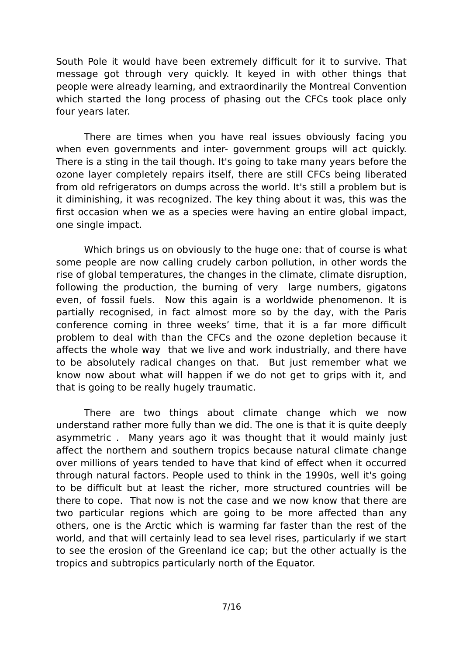South Pole it would have been extremely difficult for it to survive. That message got through very quickly. It keyed in with other things that people were already learning, and extraordinarily the Montreal Convention which started the long process of phasing out the CFCs took place only four years later.

There are times when you have real issues obviously facing you when even governments and inter- government groups will act quickly. There is a sting in the tail though. It's going to take many years before the ozone layer completely repairs itself, there are still CFCs being liberated from old refrigerators on dumps across the world. It's still a problem but is it diminishing, it was recognized. The key thing about it was, this was the first occasion when we as a species were having an entire global impact, one single impact.

Which brings us on obviously to the huge one: that of course is what some people are now calling crudely carbon pollution, in other words the rise of global temperatures, the changes in the climate, climate disruption, following the production, the burning of very large numbers, gigatons even, of fossil fuels. Now this again is a worldwide phenomenon. It is partially recognised, in fact almost more so by the day, with the Paris conference coming in three weeks' time, that it is a far more difficult problem to deal with than the CFCs and the ozone depletion because it affects the whole way that we live and work industrially, and there have to be absolutely radical changes on that. But just remember what we know now about what will happen if we do not get to grips with it, and that is going to be really hugely traumatic.

There are two things about climate change which we now understand rather more fully than we did. The one is that it is quite deeply asymmetric . Many years ago it was thought that it would mainly just affect the northern and southern tropics because natural climate change over millions of years tended to have that kind of effect when it occurred through natural factors. People used to think in the 1990s, well it's going to be difficult but at least the richer, more structured countries will be there to cope. That now is not the case and we now know that there are two particular regions which are going to be more affected than any others, one is the Arctic which is warming far faster than the rest of the world, and that will certainly lead to sea level rises, particularly if we start to see the erosion of the Greenland ice cap; but the other actually is the tropics and subtropics particularly north of the Equator.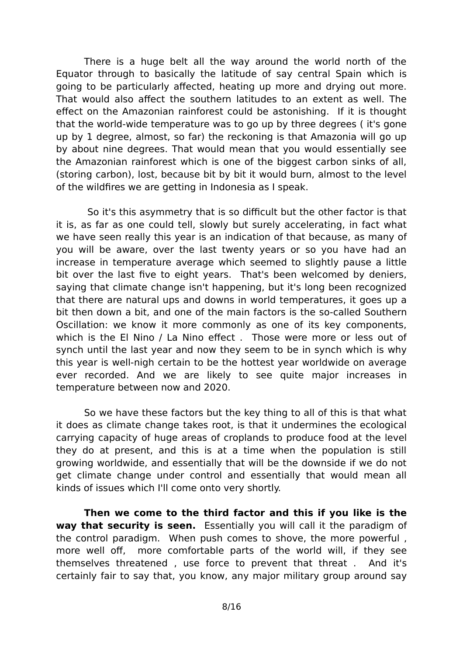There is a huge belt all the way around the world north of the Equator through to basically the latitude of say central Spain which is going to be particularly affected, heating up more and drying out more. That would also affect the southern latitudes to an extent as well. The effect on the Amazonian rainforest could be astonishing. If it is thought that the world-wide temperature was to go up by three degrees ( it's gone up by 1 degree, almost, so far) the reckoning is that Amazonia will go up by about nine degrees. That would mean that you would essentially see the Amazonian rainforest which is one of the biggest carbon sinks of all, (storing carbon), lost, because bit by bit it would burn, almost to the level of the wildfires we are getting in Indonesia as I speak.

 So it's this asymmetry that is so difficult but the other factor is that it is, as far as one could tell, slowly but surely accelerating, in fact what we have seen really this year is an indication of that because, as many of you will be aware, over the last twenty years or so you have had an increase in temperature average which seemed to slightly pause a little bit over the last five to eight years. That's been welcomed by deniers, saying that climate change isn't happening, but it's long been recognized that there are natural ups and downs in world temperatures, it goes up a bit then down a bit, and one of the main factors is the so-called Southern Oscillation: we know it more commonly as one of its key components, which is the El Nino / La Nino effect, Those were more or less out of synch until the last year and now they seem to be in synch which is why this year is well-nigh certain to be the hottest year worldwide on average ever recorded. And we are likely to see quite major increases in temperature between now and 2020.

So we have these factors but the key thing to all of this is that what it does as climate change takes root, is that it undermines the ecological carrying capacity of huge areas of croplands to produce food at the level they do at present, and this is at a time when the population is still growing worldwide, and essentially that will be the downside if we do not get climate change under control and essentially that would mean all kinds of issues which I'll come onto very shortly.

**Then we come to the third factor and this if you like is the way that security is seen.** Essentially you will call it the paradigm of the control paradigm. When push comes to shove, the more powerful , more well off, more comfortable parts of the world will, if they see themselves threatened , use force to prevent that threat . And it's certainly fair to say that, you know, any major military group around say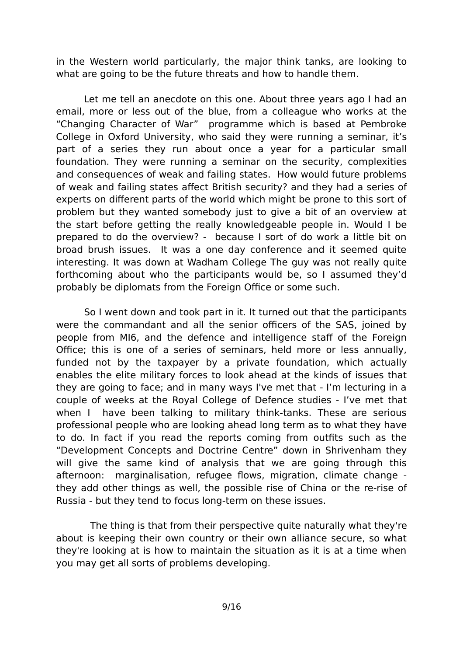in the Western world particularly, the major think tanks, are looking to what are going to be the future threats and how to handle them.

Let me tell an anecdote on this one. About three years ago I had an email, more or less out of the blue, from a colleague who works at the "Changing Character of War" programme which is based at Pembroke College in Oxford University, who said they were running a seminar, it's part of a series they run about once a year for a particular small foundation. They were running a seminar on the security, complexities and consequences of weak and failing states. How would future problems of weak and failing states affect British security? and they had a series of experts on different parts of the world which might be prone to this sort of problem but they wanted somebody just to give a bit of an overview at the start before getting the really knowledgeable people in. Would I be prepared to do the overview? - because I sort of do work a little bit on broad brush issues. It was a one day conference and it seemed quite interesting. It was down at Wadham College The guy was not really quite forthcoming about who the participants would be, so I assumed they'd probably be diplomats from the Foreign Office or some such.

So I went down and took part in it. It turned out that the participants were the commandant and all the senior officers of the SAS, joined by people from MI6, and the defence and intelligence staff of the Foreign Office; this is one of a series of seminars, held more or less annually, funded not by the taxpayer by a private foundation, which actually enables the elite military forces to look ahead at the kinds of issues that they are going to face; and in many ways I've met that - I'm lecturing in a couple of weeks at the Royal College of Defence studies - I've met that when I have been talking to military think-tanks. These are serious professional people who are looking ahead long term as to what they have to do. In fact if you read the reports coming from outfits such as the "Development Concepts and Doctrine Centre" down in Shrivenham they will give the same kind of analysis that we are going through this afternoon: marginalisation, refugee flows, migration, climate change they add other things as well, the possible rise of China or the re-rise of Russia - but they tend to focus long-term on these issues.

 The thing is that from their perspective quite naturally what they're about is keeping their own country or their own alliance secure, so what they're looking at is how to maintain the situation as it is at a time when you may get all sorts of problems developing.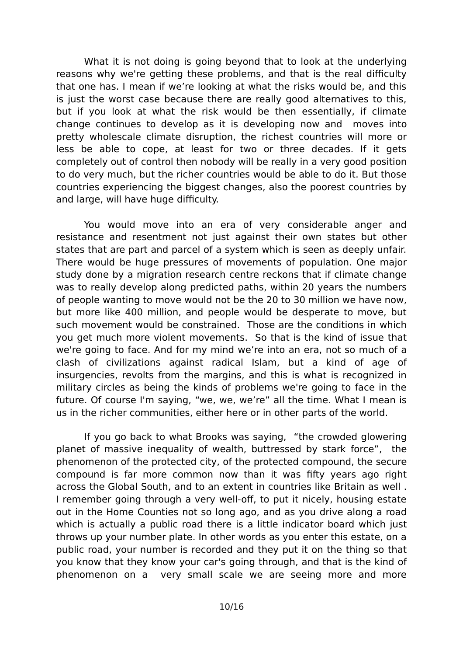What it is not doing is going beyond that to look at the underlying reasons why we're getting these problems, and that is the real difficulty that one has. I mean if we're looking at what the risks would be, and this is just the worst case because there are really good alternatives to this, but if you look at what the risk would be then essentially, if climate change continues to develop as it is developing now and moves into pretty wholescale climate disruption, the richest countries will more or less be able to cope, at least for two or three decades. If it gets completely out of control then nobody will be really in a very good position to do very much, but the richer countries would be able to do it. But those countries experiencing the biggest changes, also the poorest countries by and large, will have huge difficulty.

You would move into an era of very considerable anger and resistance and resentment not just against their own states but other states that are part and parcel of a system which is seen as deeply unfair. There would be huge pressures of movements of population. One major study done by a migration research centre reckons that if climate change was to really develop along predicted paths, within 20 years the numbers of people wanting to move would not be the 20 to 30 million we have now, but more like 400 million, and people would be desperate to move, but such movement would be constrained. Those are the conditions in which you get much more violent movements. So that is the kind of issue that we're going to face. And for my mind we're into an era, not so much of a clash of civilizations against radical Islam, but a kind of age of insurgencies, revolts from the margins, and this is what is recognized in military circles as being the kinds of problems we're going to face in the future. Of course I'm saying, "we, we, we're" all the time. What I mean is us in the richer communities, either here or in other parts of the world.

If you go back to what Brooks was saying, "the crowded glowering planet of massive inequality of wealth, buttressed by stark force", the phenomenon of the protected city, of the protected compound, the secure compound is far more common now than it was fifty years ago right across the Global South, and to an extent in countries like Britain as well . I remember going through a very well-off, to put it nicely, housing estate out in the Home Counties not so long ago, and as you drive along a road which is actually a public road there is a little indicator board which just throws up your number plate. In other words as you enter this estate, on a public road, your number is recorded and they put it on the thing so that you know that they know your car's going through, and that is the kind of phenomenon on a very small scale we are seeing more and more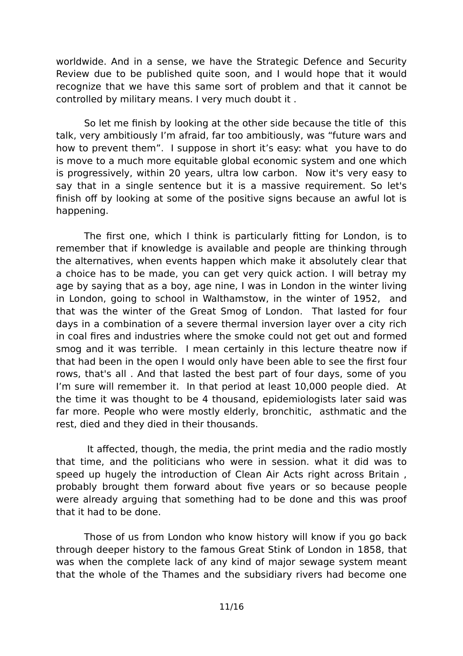worldwide. And in a sense, we have the Strategic Defence and Security Review due to be published quite soon, and I would hope that it would recognize that we have this same sort of problem and that it cannot be controlled by military means. I very much doubt it .

So let me finish by looking at the other side because the title of this talk, very ambitiously I'm afraid, far too ambitiously, was "future wars and how to prevent them". I suppose in short it's easy: what you have to do is move to a much more equitable global economic system and one which is progressively, within 20 years, ultra low carbon. Now it's very easy to say that in a single sentence but it is a massive requirement. So let's finish off by looking at some of the positive signs because an awful lot is happening.

The first one, which I think is particularly fitting for London, is to remember that if knowledge is available and people are thinking through the alternatives, when events happen which make it absolutely clear that a choice has to be made, you can get very quick action. I will betray my age by saying that as a boy, age nine, I was in London in the winter living in London, going to school in Walthamstow, in the winter of 1952, and that was the winter of the Great Smog of London. That lasted for four days in a combination of a severe thermal inversion layer over a city rich in coal fires and industries where the smoke could not get out and formed smog and it was terrible. I mean certainly in this lecture theatre now if that had been in the open I would only have been able to see the first four rows, that's all . And that lasted the best part of four days, some of you I'm sure will remember it. In that period at least 10,000 people died. At the time it was thought to be 4 thousand, epidemiologists later said was far more. People who were mostly elderly, bronchitic, asthmatic and the rest, died and they died in their thousands.

 It affected, though, the media, the print media and the radio mostly that time, and the politicians who were in session. what it did was to speed up hugely the introduction of Clean Air Acts right across Britain , probably brought them forward about five years or so because people were already arguing that something had to be done and this was proof that it had to be done.

Those of us from London who know history will know if you go back through deeper history to the famous Great Stink of London in 1858, that was when the complete lack of any kind of major sewage system meant that the whole of the Thames and the subsidiary rivers had become one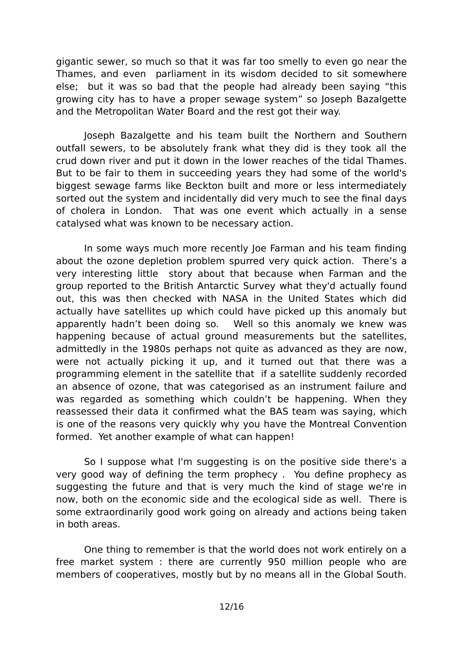gigantic sewer, so much so that it was far too smelly to even go near the Thames, and even parliament in its wisdom decided to sit somewhere else; but it was so bad that the people had already been saying "this growing city has to have a proper sewage system" so Joseph Bazalgette and the Metropolitan Water Board and the rest got their way.

Joseph Bazalgette and his team built the Northern and Southern outfall sewers, to be absolutely frank what they did is they took all the crud down river and put it down in the lower reaches of the tidal Thames. But to be fair to them in succeeding years they had some of the world's biggest sewage farms like Beckton built and more or less intermediately sorted out the system and incidentally did very much to see the final days of cholera in London. That was one event which actually in a sense catalysed what was known to be necessary action.

In some ways much more recently Joe Farman and his team finding about the ozone depletion problem spurred very quick action. There's a very interesting little story about that because when Farman and the group reported to the British Antarctic Survey what they'd actually found out, this was then checked with NASA in the United States which did actually have satellites up which could have picked up this anomaly but apparently hadn't been doing so. Well so this anomaly we knew was happening because of actual ground measurements but the satellites, admittedly in the 1980s perhaps not quite as advanced as they are now, were not actually picking it up, and it turned out that there was a programming element in the satellite that if a satellite suddenly recorded an absence of ozone, that was categorised as an instrument failure and was regarded as something which couldn't be happening. When they reassessed their data it confirmed what the BAS team was saying, which is one of the reasons very quickly why you have the Montreal Convention formed. Yet another example of what can happen!

So I suppose what I'm suggesting is on the positive side there's a very good way of defining the term prophecy . You define prophecy as suggesting the future and that is very much the kind of stage we're in now, both on the economic side and the ecological side as well. There is some extraordinarily good work going on already and actions being taken in both areas.

One thing to remember is that the world does not work entirely on a free market system : there are currently 950 million people who are members of cooperatives, mostly but by no means all in the Global South.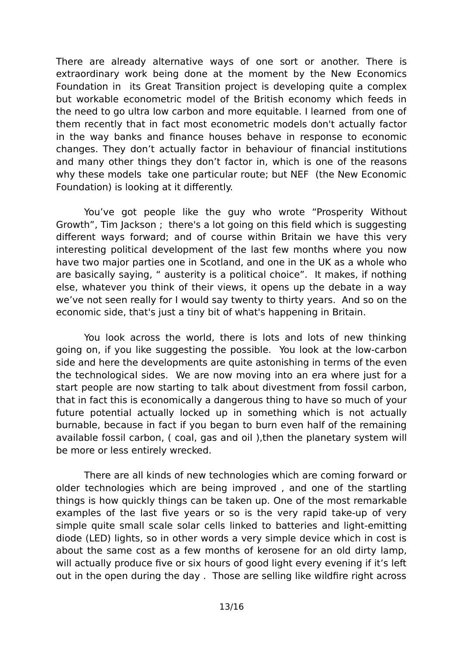There are already alternative ways of one sort or another. There is extraordinary work being done at the moment by the New Economics Foundation in its Great Transition project is developing quite a complex but workable econometric model of the British economy which feeds in the need to go ultra low carbon and more equitable. I learned from one of them recently that in fact most econometric models don't actually factor in the way banks and finance houses behave in response to economic changes. They don't actually factor in behaviour of financial institutions and many other things they don't factor in, which is one of the reasons why these models take one particular route; but NEF (the New Economic Foundation) is looking at it differently.

You've got people like the guy who wrote "Prosperity Without Growth", Tim Jackson ; there's a lot going on this field which is suggesting different ways forward; and of course within Britain we have this very interesting political development of the last few months where you now have two major parties one in Scotland, and one in the UK as a whole who are basically saying, " austerity is a political choice". It makes, if nothing else, whatever you think of their views, it opens up the debate in a way we've not seen really for I would say twenty to thirty years. And so on the economic side, that's just a tiny bit of what's happening in Britain.

You look across the world, there is lots and lots of new thinking going on, if you like suggesting the possible. You look at the low-carbon side and here the developments are quite astonishing in terms of the even the technological sides. We are now moving into an era where just for a start people are now starting to talk about divestment from fossil carbon, that in fact this is economically a dangerous thing to have so much of your future potential actually locked up in something which is not actually burnable, because in fact if you began to burn even half of the remaining available fossil carbon, ( coal, gas and oil ),then the planetary system will be more or less entirely wrecked.

There are all kinds of new technologies which are coming forward or older technologies which are being improved , and one of the startling things is how quickly things can be taken up. One of the most remarkable examples of the last five years or so is the very rapid take-up of very simple quite small scale solar cells linked to batteries and light-emitting diode (LED) lights, so in other words a very simple device which in cost is about the same cost as a few months of kerosene for an old dirty lamp, will actually produce five or six hours of good light every evening if it's left out in the open during the day . Those are selling like wildfire right across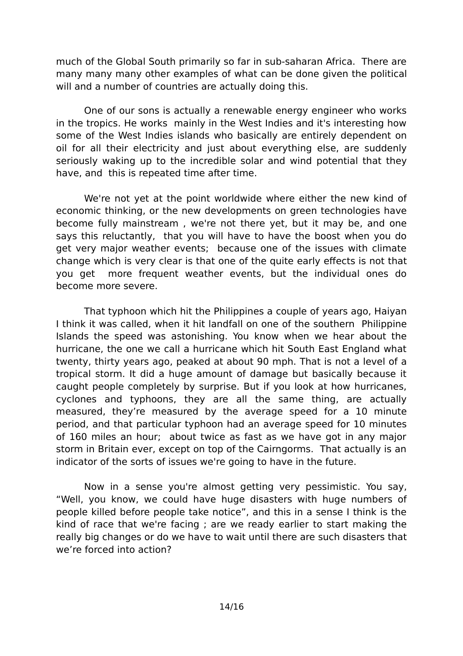much of the Global South primarily so far in sub-saharan Africa. There are many many many other examples of what can be done given the political will and a number of countries are actually doing this.

One of our sons is actually a renewable energy engineer who works in the tropics. He works mainly in the West Indies and it's interesting how some of the West Indies islands who basically are entirely dependent on oil for all their electricity and just about everything else, are suddenly seriously waking up to the incredible solar and wind potential that they have, and this is repeated time after time.

We're not yet at the point worldwide where either the new kind of economic thinking, or the new developments on green technologies have become fully mainstream , we're not there yet, but it may be, and one says this reluctantly, that you will have to have the boost when you do get very major weather events; because one of the issues with climate change which is very clear is that one of the quite early effects is not that you get more frequent weather events, but the individual ones do become more severe.

That typhoon which hit the Philippines a couple of years ago, Haiyan I think it was called, when it hit landfall on one of the southern Philippine Islands the speed was astonishing. You know when we hear about the hurricane, the one we call a hurricane which hit South East England what twenty, thirty years ago, peaked at about 90 mph. That is not a level of a tropical storm. It did a huge amount of damage but basically because it caught people completely by surprise. But if you look at how hurricanes, cyclones and typhoons, they are all the same thing, are actually measured, they're measured by the average speed for a 10 minute period, and that particular typhoon had an average speed for 10 minutes of 160 miles an hour; about twice as fast as we have got in any major storm in Britain ever, except on top of the Cairngorms. That actually is an indicator of the sorts of issues we're going to have in the future.

Now in a sense you're almost getting very pessimistic. You say, "Well, you know, we could have huge disasters with huge numbers of people killed before people take notice", and this in a sense I think is the kind of race that we're facing ; are we ready earlier to start making the really big changes or do we have to wait until there are such disasters that we're forced into action?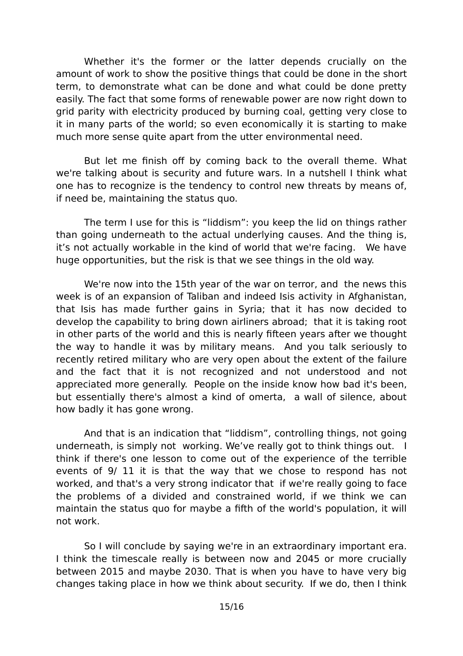Whether it's the former or the latter depends crucially on the amount of work to show the positive things that could be done in the short term, to demonstrate what can be done and what could be done pretty easily. The fact that some forms of renewable power are now right down to grid parity with electricity produced by burning coal, getting very close to it in many parts of the world; so even economically it is starting to make much more sense quite apart from the utter environmental need.

But let me finish off by coming back to the overall theme. What we're talking about is security and future wars. In a nutshell I think what one has to recognize is the tendency to control new threats by means of, if need be, maintaining the status quo.

The term I use for this is "liddism": you keep the lid on things rather than going underneath to the actual underlying causes. And the thing is, it's not actually workable in the kind of world that we're facing. We have huge opportunities, but the risk is that we see things in the old way.

We're now into the 15th year of the war on terror, and the news this week is of an expansion of Taliban and indeed Isis activity in Afghanistan, that Isis has made further gains in Syria; that it has now decided to develop the capability to bring down airliners abroad; that it is taking root in other parts of the world and this is nearly fifteen years after we thought the way to handle it was by military means. And you talk seriously to recently retired military who are very open about the extent of the failure and the fact that it is not recognized and not understood and not appreciated more generally. People on the inside know how bad it's been, but essentially there's almost a kind of omerta, a wall of silence, about how badly it has gone wrong.

And that is an indication that "liddism", controlling things, not going underneath, is simply not working. We've really got to think things out. I think if there's one lesson to come out of the experience of the terrible events of 9/ 11 it is that the way that we chose to respond has not worked, and that's a very strong indicator that if we're really going to face the problems of a divided and constrained world, if we think we can maintain the status quo for maybe a fifth of the world's population, it will not work.

So I will conclude by saying we're in an extraordinary important era. I think the timescale really is between now and 2045 or more crucially between 2015 and maybe 2030. That is when you have to have very big changes taking place in how we think about security. If we do, then I think